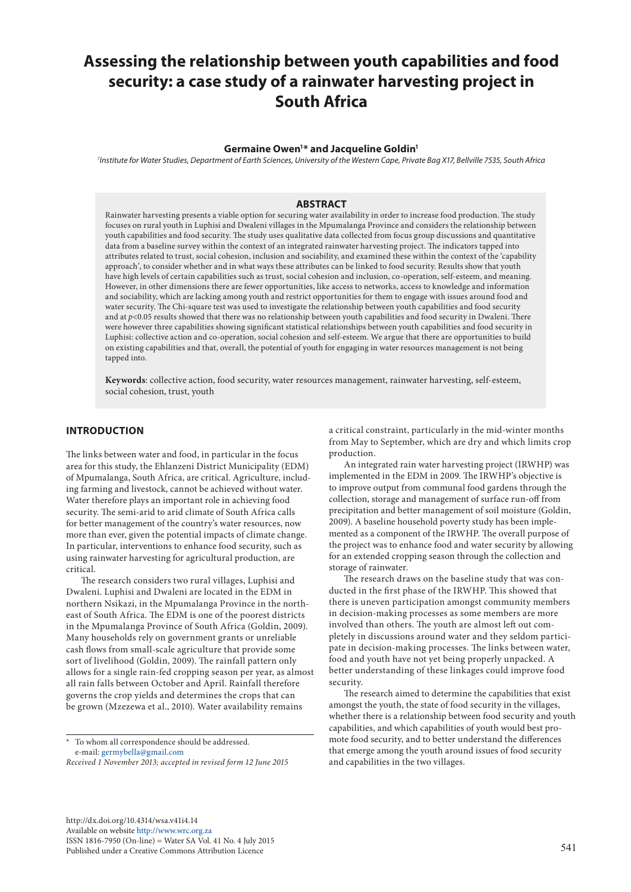# **Assessing the relationship between youth capabilities and food security: a case study of a rainwater harvesting project in South Africa**

## **Germaine Owen1 \* and Jacqueline Goldin1**

*1 Institute for Water Studies, Department of Earth Sciences, University of the Western Cape, Private Bag X17, Bellville 7535, South Africa*

# **ABSTRACT**

Rainwater harvesting presents a viable option for securing water availability in order to increase food production. The study focuses on rural youth in Luphisi and Dwaleni villages in the Mpumalanga Province and considers the relationship between youth capabilities and food security. The study uses qualitative data collected from focus group discussions and quantitative data from a baseline survey within the context of an integrated rainwater harvesting project. The indicators tapped into attributes related to trust, social cohesion, inclusion and sociability, and examined these within the context of the 'capability approach', to consider whether and in what ways these attributes can be linked to food security. Results show that youth have high levels of certain capabilities such as trust, social cohesion and inclusion, co-operation, self-esteem, and meaning. However, in other dimensions there are fewer opportunities, like access to networks, access to knowledge and information and sociability, which are lacking among youth and restrict opportunities for them to engage with issues around food and water security. The Chi-square test was used to investigate the relationship between youth capabilities and food security and at *p*<0.05 results showed that there was no relationship between youth capabilities and food security in Dwaleni. There were however three capabilities showing significant statistical relationships between youth capabilities and food security in Luphisi: collective action and co-operation, social cohesion and self-esteem. We argue that there are opportunities to build on existing capabilities and that, overall, the potential of youth for engaging in water resources management is not being tapped into.

**Keywords**: collective action, food security, water resources management, rainwater harvesting, self-esteem, social cohesion, trust, youth

## **INTRODUCTION**

The links between water and food, in particular in the focus area for this study, the Ehlanzeni District Municipality (EDM) of Mpumalanga, South Africa, are critical. Agriculture, including farming and livestock, cannot be achieved without water. Water therefore plays an important role in achieving food security. The semi-arid to arid climate of South Africa calls for better management of the country's water resources, now more than ever, given the potential impacts of climate change. In particular, interventions to enhance food security, such as using rainwater harvesting for agricultural production, are critical.

The research considers two rural villages, Luphisi and Dwaleni. Luphisi and Dwaleni are located in the EDM in northern Nsikazi, in the Mpumalanga Province in the northeast of South Africa. The EDM is one of the poorest districts in the Mpumalanga Province of South Africa (Goldin, 2009). Many households rely on government grants or unreliable cash flows from small-scale agriculture that provide some sort of livelihood (Goldin, 2009). The rainfall pattern only allows for a single rain-fed cropping season per year, as almost all rain falls between October and April. Rainfall therefore governs the crop yields and determines the crops that can be grown (Mzezewa et al., 2010). Water availability remains

\* To whom all correspondence should be addressed. e-mail: germybella@gmail.com

*Received 1 November 2013; accepted in revised form 12 June 2015*

[http://dx.doi.org/10.4314/wsa.v41i4.](http://dx.doi.org/10.4314/wsa.v41i4.14)14 Available on website<http://www.wrc.org.za> ISSN 1816-7950 (On-line) = Water SA Vol. 41 No. 4 July 2015 Published under a Creative Commons Attribution Licence

a critical constraint, particularly in the mid-winter months from May to September, which are dry and which limits crop production.

An integrated rain water harvesting project (IRWHP) was implemented in the EDM in 2009. The IRWHP's objective is to improve output from communal food gardens through the collection, storage and management of surface run-off from precipitation and better management of soil moisture (Goldin, 2009). A baseline household poverty study has been implemented as a component of the IRWHP. The overall purpose of the project was to enhance food and water security by allowing for an extended cropping season through the collection and storage of rainwater.

The research draws on the baseline study that was conducted in the first phase of the IRWHP. This showed that there is uneven participation amongst community members in decision-making processes as some members are more involved than others. The youth are almost left out completely in discussions around water and they seldom participate in decision-making processes. The links between water, food and youth have not yet being properly unpacked. A better understanding of these linkages could improve food security.

The research aimed to determine the capabilities that exist amongst the youth, the state of food security in the villages, whether there is a relationship between food security and youth capabilities, and which capabilities of youth would best promote food security, and to better understand the differences that emerge among the youth around issues of food security and capabilities in the two villages.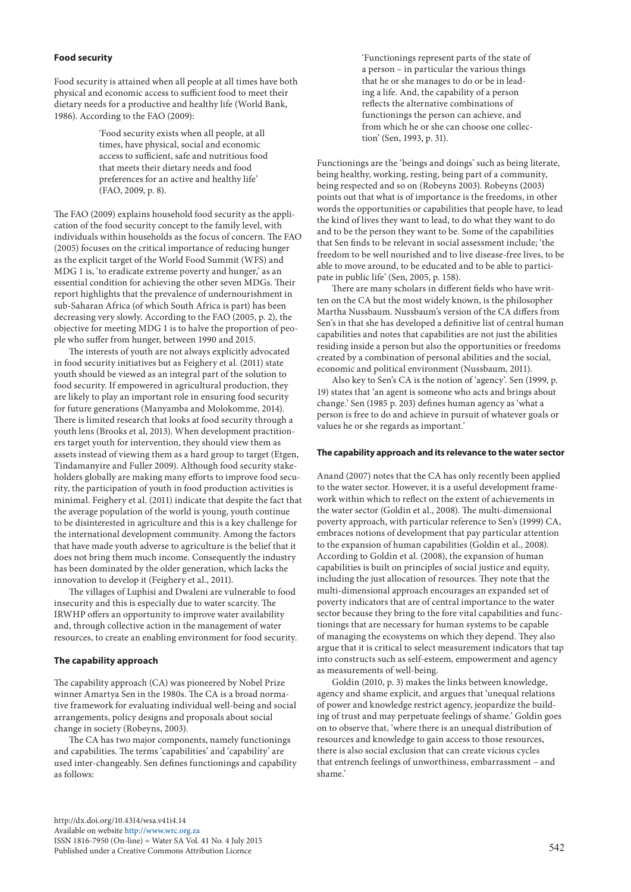## **Food security**

Food security is attained when all people at all times have both physical and economic access to sufficient food to meet their dietary needs for a productive and healthy life (World Bank, 1986). According to the FAO (2009):

> 'Food security exists when all people, at all times, have physical, social and economic access to sufficient, safe and nutritious food that meets their dietary needs and food preferences for an active and healthy life' (FAO, 2009, p. 8).

The FAO (2009) explains household food security as the application of the food security concept to the family level, with individuals within households as the focus of concern. The FAO (2005) focuses on the critical importance of reducing hunger as the explicit target of the World Food Summit (WFS) and MDG 1 is, 'to eradicate extreme poverty and hunger,' as an essential condition for achieving the other seven MDGs. Their report highlights that the prevalence of undernourishment in sub-Saharan Africa (of which South Africa is part) has been decreasing very slowly. According to the FAO (2005, p. 2), the objective for meeting MDG 1 is to halve the proportion of people who suffer from hunger, between 1990 and 2015.

The interests of youth are not always explicitly advocated in food security initiatives but as Feighery et al. (2011) state youth should be viewed as an integral part of the solution to food security. If empowered in agricultural production, they are likely to play an important role in ensuring food security for future generations (Manyamba and Molokomme, 2014). There is limited research that looks at food security through a youth lens (Brooks et al, 2013). When development practitioners target youth for intervention, they should view them as assets instead of viewing them as a hard group to target (Etgen, Tindamanyire and Fuller 2009). Although food security stakeholders globally are making many efforts to improve food security, the participation of youth in food production activities is minimal. Feighery et al. (2011) indicate that despite the fact that the average population of the world is young, youth continue to be disinterested in agriculture and this is a key challenge for the international development community. Among the factors that have made youth adverse to agriculture is the belief that it does not bring them much income. Consequently the industry has been dominated by the older generation, which lacks the innovation to develop it (Feighery et al., 2011).

The villages of Luphisi and Dwaleni are vulnerable to food insecurity and this is especially due to water scarcity. The IRWHP offers an opportunity to improve water availability and, through collective action in the management of water resources, to create an enabling environment for food security.

## **The capability approach**

The capability approach (CA) was pioneered by Nobel Prize winner Amartya Sen in the 1980s. The CA is a broad normative framework for evaluating individual well-being and social arrangements, policy designs and proposals about social change in society (Robeyns, 2003).

The CA has two major components, namely functionings and capabilities. The terms 'capabilities' and 'capability' are used inter-changeably. Sen defines functionings and capability as follows:

'Functionings represent parts of the state of a person – in particular the various things that he or she manages to do or be in leading a life. And, the capability of a person reflects the alternative combinations of functionings the person can achieve, and from which he or she can choose one collection' (Sen, 1993, p. 31).

Functionings are the 'beings and doings' such as being literate, being healthy, working, resting, being part of a community, being respected and so on (Robeyns 2003). Robeyns (2003) points out that what is of importance is the freedoms, in other words the opportunities or capabilities that people have, to lead the kind of lives they want to lead, to do what they want to do and to be the person they want to be. Some of the capabilities that Sen finds to be relevant in social assessment include; 'the freedom to be well nourished and to live disease-free lives, to be able to move around, to be educated and to be able to participate in public life' (Sen, 2005, p. 158).

There are many scholars in different fields who have written on the CA but the most widely known, is the philosopher Martha Nussbaum. Nussbaum's version of the CA differs from Sen's in that she has developed a definitive list of central human capabilities and notes that capabilities are not just the abilities residing inside a person but also the opportunities or freedoms created by a combination of personal abilities and the social, economic and political environment (Nussbaum, 2011).

Also key to Sen's CA is the notion of 'agency'. Sen (1999, p. 19) states that 'an agent is someone who acts and brings about change.' Sen (1985 p. 203) defines human agency as 'what a person is free to do and achieve in pursuit of whatever goals or values he or she regards as important.'

#### **The capability approach and its relevance to the water sector**

Anand (2007) notes that the CA has only recently been applied to the water sector. However, it is a useful development framework within which to reflect on the extent of achievements in the water sector (Goldin et al., 2008). The multi-dimensional poverty approach, with particular reference to Sen's (1999) CA, embraces notions of development that pay particular attention to the expansion of human capabilities (Goldin et al., 2008). According to Goldin et al. (2008), the expansion of human capabilities is built on principles of social justice and equity, including the just allocation of resources. They note that the multi-dimensional approach encourages an expanded set of poverty indicators that are of central importance to the water sector because they bring to the fore vital capabilities and functionings that are necessary for human systems to be capable of managing the ecosystems on which they depend. They also argue that it is critical to select measurement indicators that tap into constructs such as self-esteem, empowerment and agency as measurements of well-being.

Goldin (2010, p. 3) makes the links between knowledge, agency and shame explicit, and argues that 'unequal relations of power and knowledge restrict agency, jeopardize the building of trust and may perpetuate feelings of shame.' Goldin goes on to observe that, 'where there is an unequal distribution of resources and knowledge to gain access to those resources, there is also social exclusion that can create vicious cycles that entrench feelings of unworthiness, embarrassment – and shame.'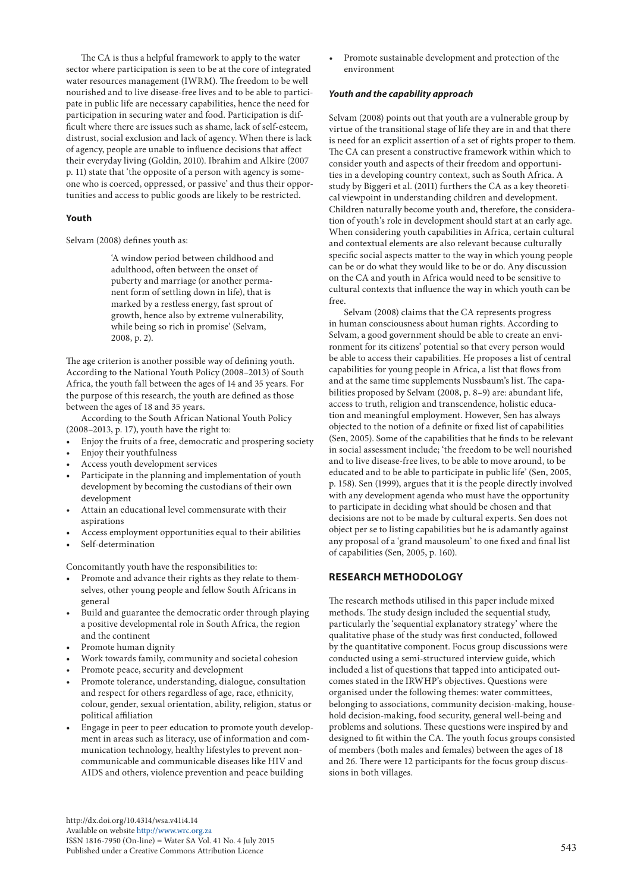The CA is thus a helpful framework to apply to the water sector where participation is seen to be at the core of integrated water resources management (IWRM). The freedom to be well nourished and to live disease-free lives and to be able to participate in public life are necessary capabilities, hence the need for participation in securing water and food. Participation is difficult where there are issues such as shame, lack of self-esteem, distrust, social exclusion and lack of agency. When there is lack of agency, people are unable to influence decisions that affect their everyday living (Goldin, 2010). Ibrahim and Alkire (2007 p. 11) state that 'the opposite of a person with agency is someone who is coerced, oppressed, or passive' and thus their opportunities and access to public goods are likely to be restricted.

## **Youth**

Selvam (2008) defines youth as:

'A window period between childhood and adulthood, often between the onset of puberty and marriage (or another permanent form of settling down in life), that is marked by a restless energy, fast sprout of growth, hence also by extreme vulnerability, while being so rich in promise' (Selvam, 2008, p. 2).

The age criterion is another possible way of defining youth. According to the National Youth Policy (2008–2013) of South Africa, the youth fall between the ages of 14 and 35 years. For the purpose of this research, the youth are defined as those between the ages of 18 and 35 years.

According to the South African National Youth Policy (2008–2013, p. 17), youth have the right to:

- Enjoy the fruits of a free, democratic and prospering society
- Enjoy their youthfulness
- Access youth development services
- Participate in the planning and implementation of youth
- development by becoming the custodians of their own development
- Attain an educational level commensurate with their  $% \mathcal{N}$ aspirations
- Access employment opportunities equal to their abilities
- Self-determination

Concomitantly youth have the responsibilities to:

- Promote and advance their rights as they relate to themselves, other young people and fellow South Africans in general
- Build and guarantee the democratic order through playing a positive developmental role in South Africa, the region and the continent
- Promote human dignity
- Work towards family, community and societal cohesion
- Promote peace, security and development
- Promote tolerance, understanding, dialogue, consultation and respect for others regardless of age, race, ethnicity, colour, gender, sexual orientation, ability, religion, status or political affiliation
- Engage in peer to peer education to promote youth development in areas such as literacy, use of information and communication technology, healthy lifestyles to prevent noncommunicable and communicable diseases like HIV and AIDS and others, violence prevention and peace building

Promote sustainable development and protection of the environment

#### *Youth and the capability approach*

Selvam (2008) points out that youth are a vulnerable group by virtue of the transitional stage of life they are in and that there is need for an explicit assertion of a set of rights proper to them. The CA can present a constructive framework within which to consider youth and aspects of their freedom and opportunities in a developing country context, such as South Africa. A study by Biggeri et al. (2011) furthers the CA as a key theoretical viewpoint in understanding children and development. Children naturally become youth and, therefore, the consideration of youth's role in development should start at an early age. When considering youth capabilities in Africa, certain cultural and contextual elements are also relevant because culturally specific social aspects matter to the way in which young people can be or do what they would like to be or do. Any discussion on the CA and youth in Africa would need to be sensitive to cultural contexts that influence the way in which youth can be free.

Selvam (2008) claims that the CA represents progress in human consciousness about human rights. According to Selvam, a good government should be able to create an environment for its citizens' potential so that every person would be able to access their capabilities. He proposes a list of central capabilities for young people in Africa, a list that flows from and at the same time supplements Nussbaum's list. The capabilities proposed by Selvam (2008, p. 8–9) are: abundant life, access to truth, religion and transcendence, holistic education and meaningful employment. However, Sen has always objected to the notion of a definite or fixed list of capabilities (Sen, 2005). Some of the capabilities that he finds to be relevant in social assessment include; 'the freedom to be well nourished and to live disease-free lives, to be able to move around, to be educated and to be able to participate in public life' (Sen, 2005, p. 158). Sen (1999), argues that it is the people directly involved with any development agenda who must have the opportunity to participate in deciding what should be chosen and that decisions are not to be made by cultural experts. Sen does not object per se to listing capabilities but he is adamantly against any proposal of a 'grand mausoleum' to one fixed and final list of capabilities (Sen, 2005, p. 160).

# **RESEARCH METHODOLOGY**

The research methods utilised in this paper include mixed methods. The study design included the sequential study, particularly the 'sequential explanatory strategy' where the qualitative phase of the study was first conducted, followed by the quantitative component. Focus group discussions were conducted using a semi-structured interview guide, which included a list of questions that tapped into anticipated outcomes stated in the IRWHP's objectives. Questions were organised under the following themes: water committees, belonging to associations, community decision-making, household decision-making, food security, general well-being and problems and solutions. These questions were inspired by and designed to fit within the CA. The youth focus groups consisted of members (both males and females) between the ages of 18 and 26. There were 12 participants for the focus group discussions in both villages.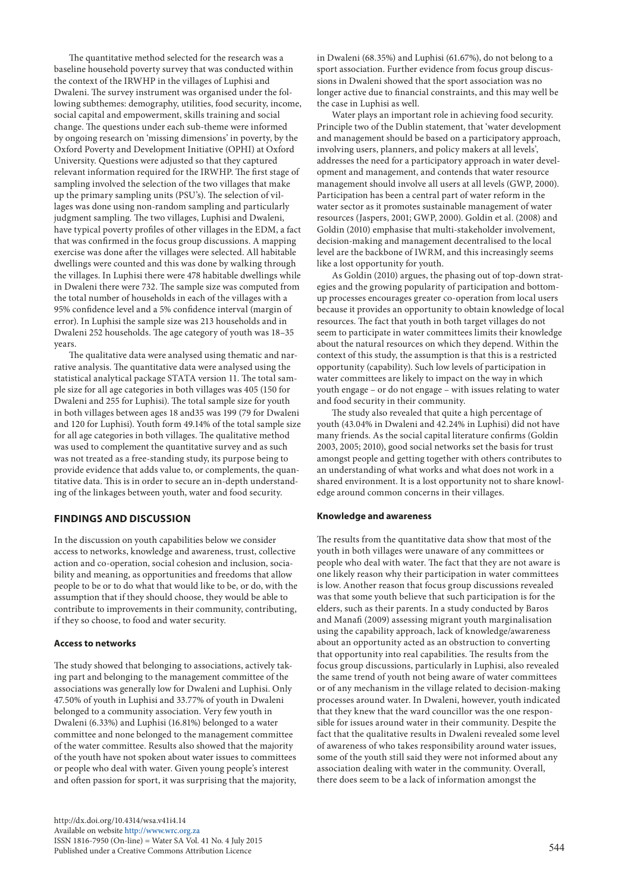The quantitative method selected for the research was a baseline household poverty survey that was conducted within the context of the IRWHP in the villages of Luphisi and Dwaleni. The survey instrument was organised under the following subthemes: demography, utilities, food security, income, social capital and empowerment, skills training and social change. The questions under each sub-theme were informed by ongoing research on 'missing dimensions' in poverty, by the Oxford Poverty and Development Initiative (OPHI) at Oxford University. Questions were adjusted so that they captured relevant information required for the IRWHP. The first stage of sampling involved the selection of the two villages that make up the primary sampling units (PSU's). The selection of villages was done using non-random sampling and particularly judgment sampling. The two villages, Luphisi and Dwaleni, have typical poverty profiles of other villages in the EDM, a fact that was confirmed in the focus group discussions. A mapping exercise was done after the villages were selected. All habitable dwellings were counted and this was done by walking through the villages. In Luphisi there were 478 habitable dwellings while in Dwaleni there were 732. The sample size was computed from the total number of households in each of the villages with a 95% confidence level and a 5% confidence interval (margin of error). In Luphisi the sample size was 213 households and in Dwaleni 252 households. The age category of youth was 18–35 years.

The qualitative data were analysed using thematic and narrative analysis. The quantitative data were analysed using the statistical analytical package STATA version 11. The total sample size for all age categories in both villages was 405 (150 for Dwaleni and 255 for Luphisi). The total sample size for youth in both villages between ages 18 and35 was 199 (79 for Dwaleni and 120 for Luphisi). Youth form 49.14% of the total sample size for all age categories in both villages. The qualitative method was used to complement the quantitative survey and as such was not treated as a free-standing study, its purpose being to provide evidence that adds value to, or complements, the quantitative data. This is in order to secure an in-depth understanding of the linkages between youth, water and food security.

# **FINDINGS AND DISCUSSION**

In the discussion on youth capabilities below we consider access to networks, knowledge and awareness, trust, collective action and co-operation, social cohesion and inclusion, sociability and meaning, as opportunities and freedoms that allow people to be or to do what that would like to be, or do, with the assumption that if they should choose, they would be able to contribute to improvements in their community, contributing, if they so choose, to food and water security.

#### **Access to networks**

The study showed that belonging to associations, actively taking part and belonging to the management committee of the associations was generally low for Dwaleni and Luphisi. Only 47.50% of youth in Luphisi and 33.77% of youth in Dwaleni belonged to a community association. Very few youth in Dwaleni (6.33%) and Luphisi (16.81%) belonged to a water committee and none belonged to the management committee of the water committee. Results also showed that the majority of the youth have not spoken about water issues to committees or people who deal with water. Given young people's interest and often passion for sport, it was surprising that the majority, in Dwaleni (68.35%) and Luphisi (61.67%), do not belong to a sport association. Further evidence from focus group discussions in Dwaleni showed that the sport association was no longer active due to financial constraints, and this may well be the case in Luphisi as well.

Water plays an important role in achieving food security. Principle two of the Dublin statement, that 'water development and management should be based on a participatory approach, involving users, planners, and policy makers at all levels', addresses the need for a participatory approach in water development and management, and contends that water resource management should involve all users at all levels (GWP, 2000). Participation has been a central part of water reform in the water sector as it promotes sustainable management of water resources (Jaspers, 2001; GWP, 2000). Goldin et al. (2008) and Goldin (2010) emphasise that multi-stakeholder involvement, decision-making and management decentralised to the local level are the backbone of IWRM, and this increasingly seems like a lost opportunity for youth.

As Goldin (2010) argues, the phasing out of top-down strategies and the growing popularity of participation and bottomup processes encourages greater co-operation from local users because it provides an opportunity to obtain knowledge of local resources. The fact that youth in both target villages do not seem to participate in water committees limits their knowledge about the natural resources on which they depend. Within the context of this study, the assumption is that this is a restricted opportunity (capability). Such low levels of participation in water committees are likely to impact on the way in which youth engage – or do not engage – with issues relating to water and food security in their community.

The study also revealed that quite a high percentage of youth (43.04% in Dwaleni and 42.24% in Luphisi) did not have many friends. As the social capital literature confirms (Goldin 2003, 2005; 2010), good social networks set the basis for trust amongst people and getting together with others contributes to an understanding of what works and what does not work in a shared environment. It is a lost opportunity not to share knowledge around common concerns in their villages.

### **Knowledge and awareness**

The results from the quantitative data show that most of the youth in both villages were unaware of any committees or people who deal with water. The fact that they are not aware is one likely reason why their participation in water committees is low. Another reason that focus group discussions revealed was that some youth believe that such participation is for the elders, such as their parents. In a study conducted by Baros and Manafi (2009) assessing migrant youth marginalisation using the capability approach, lack of knowledge/awareness about an opportunity acted as an obstruction to converting that opportunity into real capabilities. The results from the focus group discussions, particularly in Luphisi, also revealed the same trend of youth not being aware of water committees or of any mechanism in the village related to decision-making processes around water. In Dwaleni, however, youth indicated that they knew that the ward councillor was the one responsible for issues around water in their community. Despite the fact that the qualitative results in Dwaleni revealed some level of awareness of who takes responsibility around water issues, some of the youth still said they were not informed about any association dealing with water in the community. Overall, there does seem to be a lack of information amongst the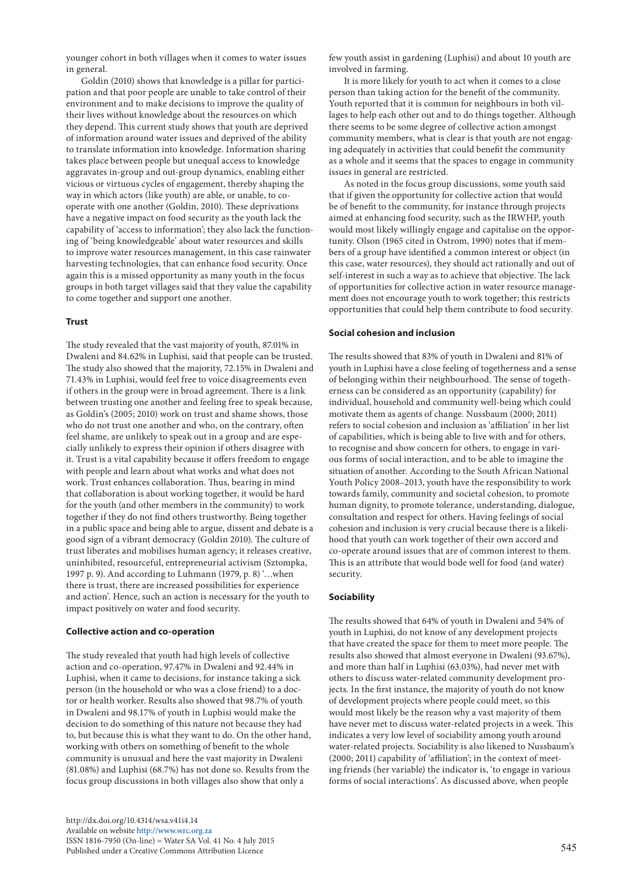younger cohort in both villages when it comes to water issues in general.

Goldin (2010) shows that knowledge is a pillar for participation and that poor people are unable to take control of their environment and to make decisions to improve the quality of their lives without knowledge about the resources on which they depend. This current study shows that youth are deprived of information around water issues and deprived of the ability to translate information into knowledge. Information sharing takes place between people but unequal access to knowledge aggravates in-group and out-group dynamics, enabling either vicious or virtuous cycles of engagement, thereby shaping the way in which actors (like youth) are able, or unable, to cooperate with one another (Goldin, 2010). These deprivations have a negative impact on food security as the youth lack the capability of 'access to information'; they also lack the functioning of 'being knowledgeable' about water resources and skills to improve water resources management, in this case rainwater harvesting technologies, that can enhance food security. Once again this is a missed opportunity as many youth in the focus groups in both target villages said that they value the capability to come together and support one another.

## **Trust**

The study revealed that the vast majority of youth, 87.01% in Dwaleni and 84.62% in Luphisi, said that people can be trusted. The study also showed that the majority, 72.15% in Dwaleni and 71.43% in Luphisi, would feel free to voice disagreements even if others in the group were in broad agreement. There is a link between trusting one another and feeling free to speak because, as Goldin's (2005; 2010) work on trust and shame shows, those who do not trust one another and who, on the contrary, often feel shame, are unlikely to speak out in a group and are especially unlikely to express their opinion if others disagree with it. Trust is a vital capability because it offers freedom to engage with people and learn about what works and what does not work. Trust enhances collaboration. Thus, bearing in mind that collaboration is about working together, it would be hard for the youth (and other members in the community) to work together if they do not find others trustworthy. Being together in a public space and being able to argue, dissent and debate is a good sign of a vibrant democracy (Goldin 2010). The culture of trust liberates and mobilises human agency; it releases creative, uninhibited, resourceful, entrepreneurial activism (Sztompka, 1997 p. 9). And according to Luhmann (1979, p. 8) '…when there is trust, there are increased possibilities for experience and action'. Hence, such an action is necessary for the youth to impact positively on water and food security.

#### **Collective action and co-operation**

The study revealed that youth had high levels of collective action and co-operation, 97.47% in Dwaleni and 92.44% in Luphisi, when it came to decisions, for instance taking a sick person (in the household or who was a close friend) to a doctor or health worker. Results also showed that 98.7% of youth in Dwaleni and 98.17% of youth in Luphisi would make the decision to do something of this nature not because they had to, but because this is what they want to do. On the other hand, working with others on something of benefit to the whole community is unusual and here the vast majority in Dwaleni (81.08%) and Luphisi (68.7%) has not done so. Results from the focus group discussions in both villages also show that only a

few youth assist in gardening (Luphisi) and about 10 youth are involved in farming.

It is more likely for youth to act when it comes to a close person than taking action for the benefit of the community. Youth reported that it is common for neighbours in both villages to help each other out and to do things together. Although there seems to be some degree of collective action amongst community members, what is clear is that youth are not engaging adequately in activities that could benefit the community as a whole and it seems that the spaces to engage in community issues in general are restricted.

As noted in the focus group discussions, some youth said that if given the opportunity for collective action that would be of benefit to the community, for instance through projects aimed at enhancing food security, such as the IRWHP, youth would most likely willingly engage and capitalise on the opportunity. Olson (1965 cited in Ostrom, 1990) notes that if members of a group have identified a common interest or object (in this case, water resources), they should act rationally and out of self-interest in such a way as to achieve that objective. The lack of opportunities for collective action in water resource management does not encourage youth to work together; this restricts opportunities that could help them contribute to food security.

#### **Social cohesion and inclusion**

The results showed that 83% of youth in Dwaleni and 81% of youth in Luphisi have a close feeling of togetherness and a sense of belonging within their neighbourhood. The sense of togetherness can be considered as an opportunity (capability) for individual, household and community well-being which could motivate them as agents of change. Nussbaum (2000; 2011) refers to social cohesion and inclusion as 'affiliation' in her list of capabilities, which is being able to live with and for others, to recognise and show concern for others, to engage in various forms of social interaction, and to be able to imagine the situation of another. According to the South African National Youth Policy 2008–2013, youth have the responsibility to work towards family, community and societal cohesion, to promote human dignity, to promote tolerance, understanding, dialogue, consultation and respect for others. Having feelings of social cohesion and inclusion is very crucial because there is a likelihood that youth can work together of their own accord and co-operate around issues that are of common interest to them. This is an attribute that would bode well for food (and water) security.

## **Sociability**

The results showed that 64% of youth in Dwaleni and 54% of youth in Luphisi, do not know of any development projects that have created the space for them to meet more people. The results also showed that almost everyone in Dwaleni (93.67%), and more than half in Luphisi (63.03%), had never met with others to discuss water-related community development projects. In the first instance, the majority of youth do not know of development projects where people could meet, so this would most likely be the reason why a vast majority of them have never met to discuss water-related projects in a week. This indicates a very low level of sociability among youth around water-related projects. Sociability is also likened to Nussbaum's (2000; 2011) capability of 'affiliation'; in the context of meeting friends (her variable) the indicator is, 'to engage in various forms of social interactions'. As discussed above, when people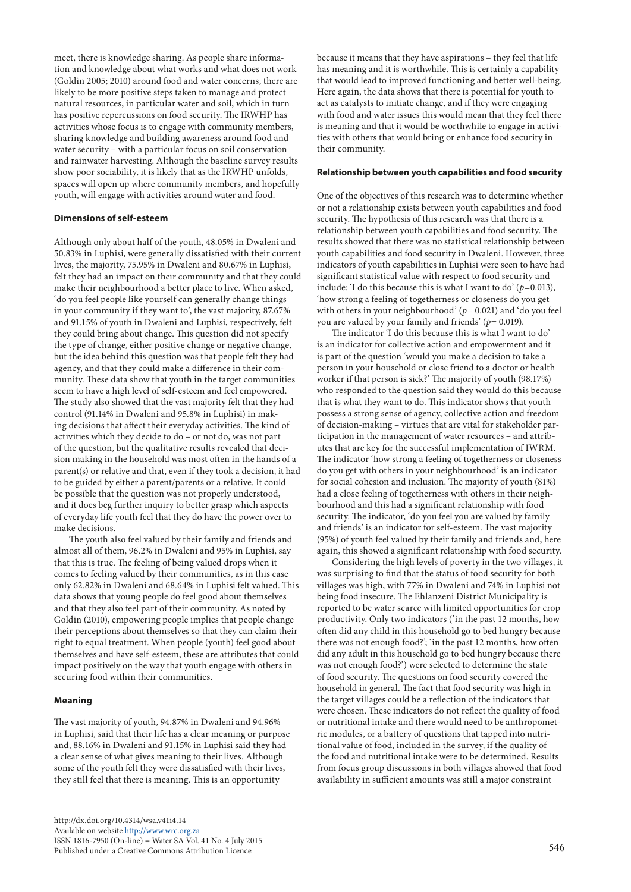meet, there is knowledge sharing. As people share information and knowledge about what works and what does not work (Goldin 2005; 2010) around food and water concerns, there are likely to be more positive steps taken to manage and protect natural resources, in particular water and soil, which in turn has positive repercussions on food security. The IRWHP has activities whose focus is to engage with community members, sharing knowledge and building awareness around food and water security – with a particular focus on soil conservation and rainwater harvesting. Although the baseline survey results show poor sociability, it is likely that as the IRWHP unfolds, spaces will open up where community members, and hopefully youth, will engage with activities around water and food.

# **Dimensions of self-esteem**

Although only about half of the youth, 48.05% in Dwaleni and 50.83% in Luphisi, were generally dissatisfied with their current lives, the majority, 75.95% in Dwaleni and 80.67% in Luphisi, felt they had an impact on their community and that they could make their neighbourhood a better place to live. When asked, 'do you feel people like yourself can generally change things in your community if they want to', the vast majority, 87.67% and 91.15% of youth in Dwaleni and Luphisi, respectively, felt they could bring about change. This question did not specify the type of change, either positive change or negative change, but the idea behind this question was that people felt they had agency, and that they could make a difference in their community. These data show that youth in the target communities seem to have a high level of self-esteem and feel empowered. The study also showed that the vast majority felt that they had control (91.14% in Dwaleni and 95.8% in Luphisi) in making decisions that affect their everyday activities. The kind of activities which they decide to do – or not do, was not part of the question, but the qualitative results revealed that decision making in the household was most often in the hands of a parent(s) or relative and that, even if they took a decision, it had to be guided by either a parent/parents or a relative. It could be possible that the question was not properly understood, and it does beg further inquiry to better grasp which aspects of everyday life youth feel that they do have the power over to make decisions.

The youth also feel valued by their family and friends and almost all of them, 96.2% in Dwaleni and 95% in Luphisi, say that this is true. The feeling of being valued drops when it comes to feeling valued by their communities, as in this case only 62.82% in Dwaleni and 68.64% in Luphisi felt valued. This data shows that young people do feel good about themselves and that they also feel part of their community. As noted by Goldin (2010), empowering people implies that people change their perceptions about themselves so that they can claim their right to equal treatment. When people (youth) feel good about themselves and have self-esteem, these are attributes that could impact positively on the way that youth engage with others in securing food within their communities.

#### **Meaning**

The vast majority of youth, 94.87% in Dwaleni and 94.96% in Luphisi, said that their life has a clear meaning or purpose and, 88.16% in Dwaleni and 91.15% in Luphisi said they had a clear sense of what gives meaning to their lives. Although some of the youth felt they were dissatisfied with their lives, they still feel that there is meaning. This is an opportunity

because it means that they have aspirations – they feel that life has meaning and it is worthwhile. This is certainly a capability that would lead to improved functioning and better well-being. Here again, the data shows that there is potential for youth to act as catalysts to initiate change, and if they were engaging with food and water issues this would mean that they feel there is meaning and that it would be worthwhile to engage in activities with others that would bring or enhance food security in their community.

#### **Relationship between youth capabilities and food security**

One of the objectives of this research was to determine whether or not a relationship exists between youth capabilities and food security. The hypothesis of this research was that there is a relationship between youth capabilities and food security. The results showed that there was no statistical relationship between youth capabilities and food security in Dwaleni. However, three indicators of youth capabilities in Luphisi were seen to have had significant statistical value with respect to food security and include: 'I do this because this is what I want to do'  $(p=0.013)$ , 'how strong a feeling of togetherness or closeness do you get with others in your neighbourhood' (*p*= 0.021) and 'do you feel you are valued by your family and friends' (*p*= 0.019).

The indicator 'I do this because this is what I want to do' is an indicator for collective action and empowerment and it is part of the question 'would you make a decision to take a person in your household or close friend to a doctor or health worker if that person is sick?' The majority of youth (98.17%) who responded to the question said they would do this because that is what they want to do. This indicator shows that youth possess a strong sense of agency, collective action and freedom of decision-making – virtues that are vital for stakeholder participation in the management of water resources – and attributes that are key for the successful implementation of IWRM. The indicator 'how strong a feeling of togetherness or closeness do you get with others in your neighbourhood' is an indicator for social cohesion and inclusion. The majority of youth (81%) had a close feeling of togetherness with others in their neighbourhood and this had a significant relationship with food security. The indicator, 'do you feel you are valued by family and friends' is an indicator for self-esteem. The vast majority (95%) of youth feel valued by their family and friends and, here again, this showed a significant relationship with food security.

Considering the high levels of poverty in the two villages, it was surprising to find that the status of food security for both villages was high, with 77% in Dwaleni and 74% in Luphisi not being food insecure. The Ehlanzeni District Municipality is reported to be water scarce with limited opportunities for crop productivity. Only two indicators ('in the past 12 months, how often did any child in this household go to bed hungry because there was not enough food?'; 'in the past 12 months, how often did any adult in this household go to bed hungry because there was not enough food?') were selected to determine the state of food security. The questions on food security covered the household in general. The fact that food security was high in the target villages could be a reflection of the indicators that were chosen. These indicators do not reflect the quality of food or nutritional intake and there would need to be anthropometric modules, or a battery of questions that tapped into nutritional value of food, included in the survey, if the quality of the food and nutritional intake were to be determined. Results from focus group discussions in both villages showed that food availability in sufficient amounts was still a major constraint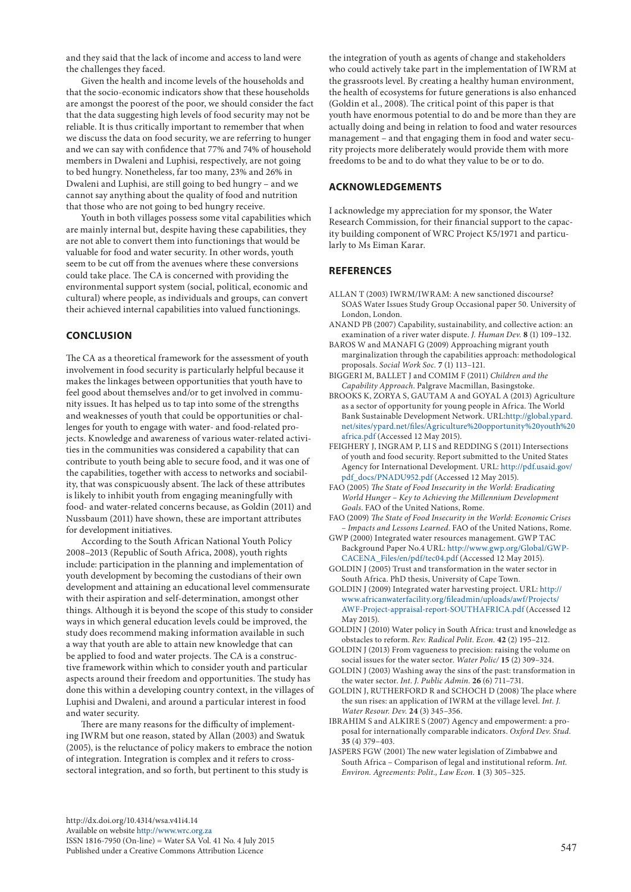and they said that the lack of income and access to land were the challenges they faced.

Given the health and income levels of the households and that the socio-economic indicators show that these households are amongst the poorest of the poor, we should consider the fact that the data suggesting high levels of food security may not be reliable. It is thus critically important to remember that when we discuss the data on food security, we are referring to hunger and we can say with confidence that 77% and 74% of household members in Dwaleni and Luphisi, respectively, are not going to bed hungry. Nonetheless, far too many, 23% and 26% in Dwaleni and Luphisi, are still going to bed hungry – and we cannot say anything about the quality of food and nutrition that those who are not going to bed hungry receive.

Youth in both villages possess some vital capabilities which are mainly internal but, despite having these capabilities, they are not able to convert them into functionings that would be valuable for food and water security. In other words, youth seem to be cut off from the avenues where these conversions could take place. The CA is concerned with providing the environmental support system (social, political, economic and cultural) where people, as individuals and groups, can convert their achieved internal capabilities into valued functionings.

# **CONCLUSION**

The CA as a theoretical framework for the assessment of youth involvement in food security is particularly helpful because it makes the linkages between opportunities that youth have to feel good about themselves and/or to get involved in community issues. It has helped us to tap into some of the strengths and weaknesses of youth that could be opportunities or challenges for youth to engage with water- and food-related projects. Knowledge and awareness of various water-related activities in the communities was considered a capability that can contribute to youth being able to secure food, and it was one of the capabilities, together with access to networks and sociability, that was conspicuously absent. The lack of these attributes is likely to inhibit youth from engaging meaningfully with food- and water-related concerns because, as Goldin (2011) and Nussbaum (2011) have shown, these are important attributes for development initiatives.

According to the South African National Youth Policy 2008–2013 (Republic of South Africa, 2008), youth rights include: participation in the planning and implementation of youth development by becoming the custodians of their own development and attaining an educational level commensurate with their aspiration and self-determination, amongst other things. Although it is beyond the scope of this study to consider ways in which general education levels could be improved, the study does recommend making information available in such a way that youth are able to attain new knowledge that can be applied to food and water projects. The CA is a constructive framework within which to consider youth and particular aspects around their freedom and opportunities. The study has done this within a developing country context, in the villages of Luphisi and Dwaleni, and around a particular interest in food and water security.

There are many reasons for the difficulty of implementing IWRM but one reason, stated by Allan (2003) and Swatuk (2005), is the reluctance of policy makers to embrace the notion of integration. Integration is complex and it refers to crosssectoral integration, and so forth, but pertinent to this study is

the integration of youth as agents of change and stakeholders who could actively take part in the implementation of IWRM at the grassroots level. By creating a healthy human environment, the health of ecosystems for future generations is also enhanced (Goldin et al., 2008). The critical point of this paper is that youth have enormous potential to do and be more than they are actually doing and being in relation to food and water resources management – and that engaging them in food and water security projects more deliberately would provide them with more freedoms to be and to do what they value to be or to do.

## **ACKNOWLEDGEMENTS**

I acknowledge my appreciation for my sponsor, the Water Research Commission, for their financial support to the capacity building component of WRC Project K5/1971 and particularly to Ms Eiman Karar.

# **REFERENCES**

- ALLAN T (2003) IWRM/IWRAM: A new sanctioned discourse? SOAS Water Issues Study Group Occasional paper 50. University of London, London.
- ANAND PB (2007) Capability, sustainability, and collective action: an examination of a river water dispute. *J. Human Dev.* **8** (1) 109–132.
- BAROS W and MANAFI G (2009) Approaching migrant youth marginalization through the capabilities approach: methodological proposals. *Social Work Soc.* **7** (1) 113–121.
- BIGGERI M, BALLET J and COMIM F (2011) *Children and the Capability Approach*. Palgrave Macmillan, Basingstoke.
- BROOKS K, ZORYA S, GAUTAM A and GOYAL A (2013) Agriculture as a sector of opportunity for young people in Africa. The World Bank Sustainable Development Network. URL:[http://global.ypard.](ttp://global.ypard.net/sites/ypard.net/files/Agriculture%2520opportunity%2520youth%2520africa.pdf%20) [net/sites/ypard.net/files/Agriculture%20opportunity%20youth%20](ttp://global.ypard.net/sites/ypard.net/files/Agriculture%2520opportunity%2520youth%2520africa.pdf%20) [africa.pdf](ttp://global.ypard.net/sites/ypard.net/files/Agriculture%2520opportunity%2520youth%2520africa.pdf%20) (Accessed 12 May 2015).
- FEIGHERY J, INGRAM P, LI S and REDDING S (2011) Intersections of youth and food security. Report submitted to the United States Agency for International Development. URL: [http://pdf.usaid.gov/](http://pdf.usaid.gov/pdf_docs/PNADU952.pdf) [pdf\\_docs/PNADU952.pdf](http://pdf.usaid.gov/pdf_docs/PNADU952.pdf) (Accessed 12 May 2015).
- FAO (2005) *The State of Food Insecurity in the World: Eradicating World Hunger – Key to Achieving the Millennium Development Goals*. FAO of the United Nations, Rome.
- FAO (2009) *The State of Food Insecurity in the World: Economic Crises – Impacts and Lessons Learned*. FAO of the United Nations, Rome.
- GWP (2000) Integrated water resources management. GWP TAC Background Paper No.4 URL: [http://www.gwp.org/Global/GWP-](http://www.gwp.org/Global/GWP-CACENA_Files/en/pdf/tec04.pdf)[CACENA\\_Files/en/pdf/tec04.pdf](http://www.gwp.org/Global/GWP-CACENA_Files/en/pdf/tec04.pdf) (Accessed 12 May 2015).
- GOLDIN J (2005) Trust and transformation in the water sector in South Africa. PhD thesis, University of Cape Town.
- GOLDIN J (2009) Integrated water harvesting project. URL: [http://](http://www.africanwaterfacility.org/fileadmin/uploads/awf/Projects/AWF-Project-appraisal-report-SOUTHAFRICA.pdf) [www.africanwaterfacility.org/fileadmin/uploads/awf/Projects/](http://www.africanwaterfacility.org/fileadmin/uploads/awf/Projects/AWF-Project-appraisal-report-SOUTHAFRICA.pdf) [AWF-Project-appraisal-report-SOUTHAFRICA.pdf](http://www.africanwaterfacility.org/fileadmin/uploads/awf/Projects/AWF-Project-appraisal-report-SOUTHAFRICA.pdf) (Accessed 12 May 2015).
- GOLDIN J (2010) Water policy in South Africa: trust and knowledge as obstacles to reform. *Rev. Radical Polit. Econ.* **42** (2) 195–212.
- GOLDIN J (2013) From vagueness to precision: raising the volume on social issues for the water sector. *Water Polic/* **15** (2) 309–324.
- GOLDIN J (2003) Washing away the sins of the past: transformation in the water sector. *Int. J. Public Admin.* **26** (6) 711–731.
- GOLDIN J, RUTHERFORD R and SCHOCH D (2008) The place where the sun rises: an application of IWRM at the village level. *Int. J. Water Resour. Dev.* **24** (3) 345–356.
- IBRAHIM S and ALKIRE S (2007) Agency and empowerment: a proposal for internationally comparable indicators. *Oxford Dev. Stud.*  **35** (4) 379–403.
- JASPERS FGW (2001) The new water legislation of Zimbabwe and South Africa – Comparison of legal and institutional reform. *Int. Environ. Agreements: Polit., Law Econ.* **1** (3) 305–325.